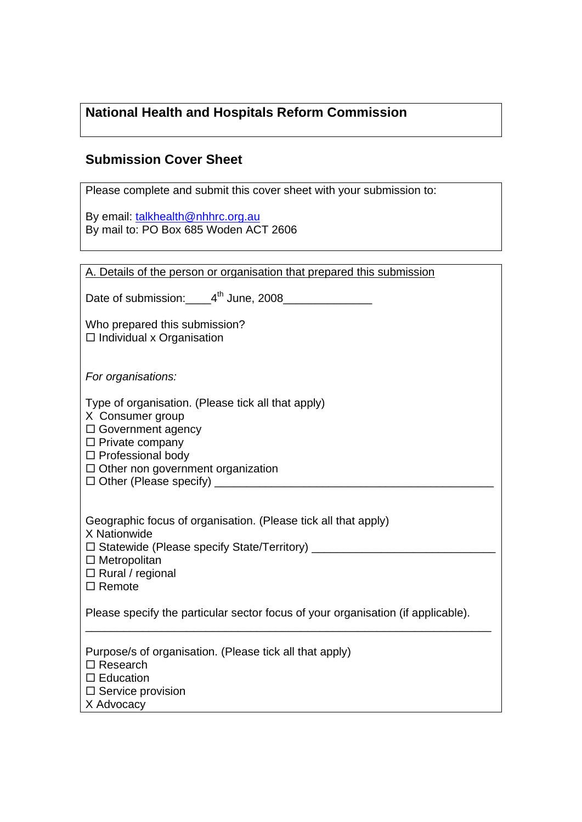# **National Health and Hospitals Reform Commission**

## **Submission Cover Sheet**

| Please complete and submit this cover sheet with your submission to:                                                                                                                                                                 |
|--------------------------------------------------------------------------------------------------------------------------------------------------------------------------------------------------------------------------------------|
| By email: talkhealth@nhhrc.org.au<br>By mail to: PO Box 685 Woden ACT 2606                                                                                                                                                           |
|                                                                                                                                                                                                                                      |
| A. Details of the person or organisation that prepared this submission                                                                                                                                                               |
| Date of submission: 4 <sup>th</sup> June, 2008                                                                                                                                                                                       |
| Who prepared this submission?<br>$\Box$ Individual x Organisation                                                                                                                                                                    |
| For organisations:                                                                                                                                                                                                                   |
| Type of organisation. (Please tick all that apply)<br>X Consumer group<br>$\Box$ Government agency<br>$\Box$ Private company<br>$\Box$ Professional body<br>$\Box$ Other non government organization                                 |
| Geographic focus of organisation. (Please tick all that apply)<br>X Nationwide<br>□ Statewide (Please specify State/Territory) __________________________________<br>$\Box$ Metropolitan<br>$\Box$ Rural / regional<br>$\Box$ Remote |
| Please specify the particular sector focus of your organisation (if applicable).                                                                                                                                                     |
| Purpose/s of organisation. (Please tick all that apply)<br>$\Box$ Research<br>$\square$ Education<br>$\Box$ Service provision<br>X Advocacy                                                                                          |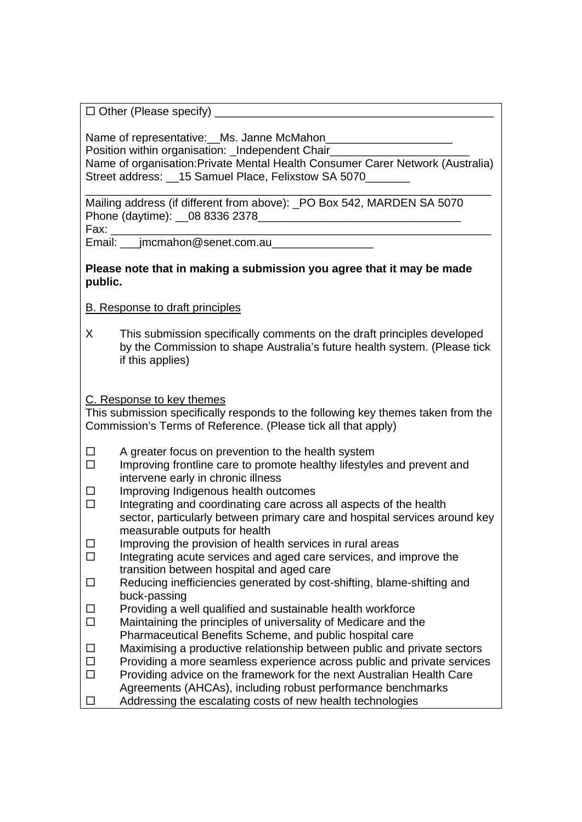$\Box$  Other (Please specify)

Name of representative:\_\_Ms. Janne McMahon\_ Position within organisation: Independent Chair Name of organisation:Private Mental Health Consumer Carer Network (Australia) Street address: 15 Samuel Place, Felixstow SA 5070

\_\_\_\_\_\_\_\_\_\_\_\_\_\_\_\_\_\_\_\_\_\_\_\_\_\_\_\_\_\_\_\_\_\_\_\_\_\_\_\_\_\_\_\_\_\_\_\_\_\_\_\_\_\_\_\_\_\_\_\_\_\_\_\_ Mailing address (if different from above): \_PO Box 542, MARDEN SA 5070 Phone (daytime): \_\_08 8336 2378\_ Fax: \_\_\_\_\_\_\_\_\_\_\_\_\_\_\_\_\_\_\_\_\_\_\_\_\_\_\_\_\_\_\_\_\_\_\_\_\_\_\_\_\_\_\_\_\_\_\_\_\_\_\_\_\_\_\_\_\_\_\_\_

Email: \_\_\_jmcmahon@senet.com.au\_\_\_\_\_\_\_\_\_\_\_\_\_\_\_\_

**Please note that in making a submission you agree that it may be made public.** 

B. Response to draft principles

X This submission specifically comments on the draft principles developed by the Commission to shape Australia's future health system. (Please tick if this applies)

C. Response to key themes

This submission specifically responds to the following key themes taken from the Commission's Terms of Reference. (Please tick all that apply)

- $\Box$  A greater focus on prevention to the health system
- $\Box$  Improving frontline care to promote healthy lifestyles and prevent and intervene early in chronic illness
- $\Box$  Improving Indigenous health outcomes
- $\Box$  Integrating and coordinating care across all aspects of the health sector, particularly between primary care and hospital services around key measurable outputs for health
- $\Box$  Improving the provision of health services in rural areas
- $\Box$  Integrating acute services and aged care services, and improve the transition between hospital and aged care
- $\Box$  Reducing inefficiencies generated by cost-shifting, blame-shifting and buck-passing
- $\Box$  Providing a well qualified and sustainable health workforce
- $\Box$  Maintaining the principles of universality of Medicare and the Pharmaceutical Benefits Scheme, and public hospital care
- $\Box$  Maximising a productive relationship between public and private sectors
- $\Box$  Providing a more seamless experience across public and private services
- $\Box$  Providing advice on the framework for the next Australian Health Care Agreements (AHCAs), including robust performance benchmarks
- $\Box$  Addressing the escalating costs of new health technologies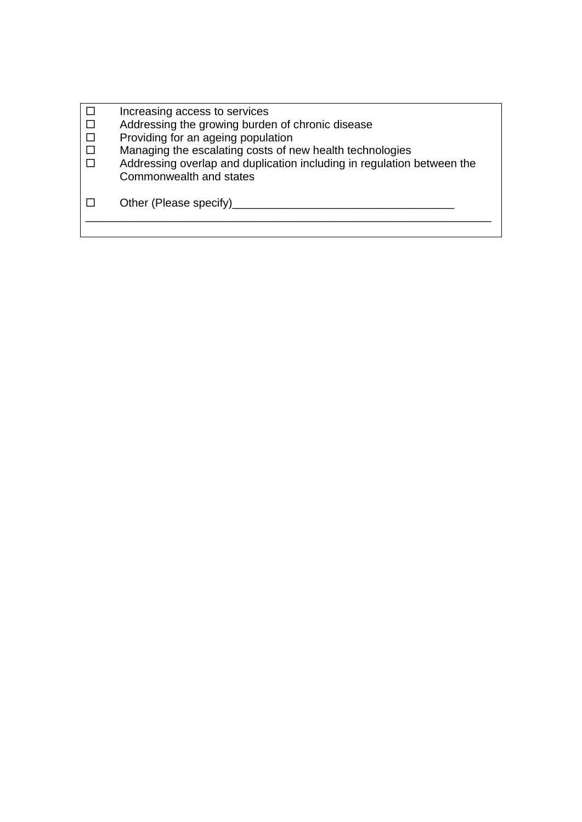| Increasing access to services                                          |
|------------------------------------------------------------------------|
| Addressing the growing burden of chronic disease                       |
| Providing for an ageing population                                     |
| Managing the escalating costs of new health technologies               |
| Addressing overlap and duplication including in regulation between the |
| Commonwealth and states                                                |
|                                                                        |
| Other (Please specify)                                                 |
|                                                                        |
|                                                                        |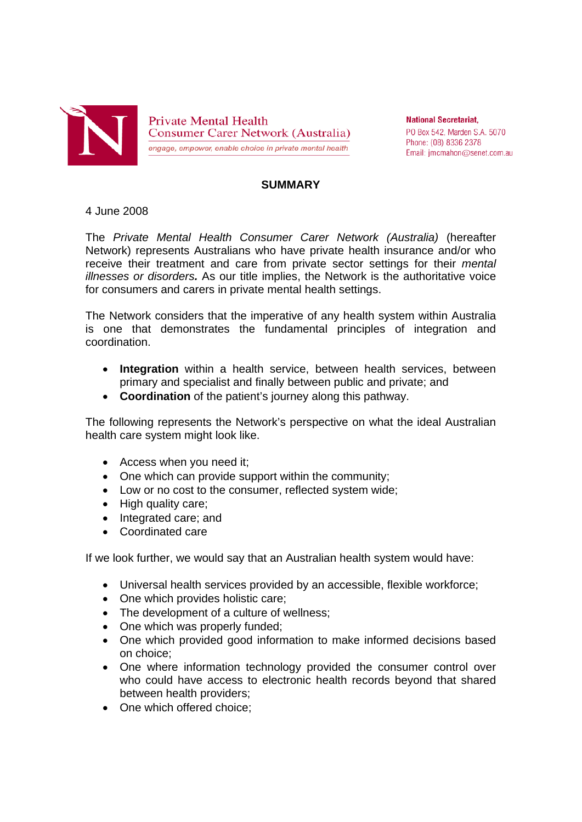

**Private Mental Health Consumer Carer Network (Australia)** engage, empower, enable choice in private mental health

**National Secretariat.** PO Box 542, Marden S.A. 5070 Phone: (08) 8336 2378 Email: jmcmahon@senet.com.au

#### **SUMMARY**

#### 4 June 2008

The *Private Mental Health Consumer Carer Network (Australia)* (hereafter Network) represents Australians who have private health insurance and/or who receive their treatment and care from private sector settings for their *mental illnesses or disorders.* As our title implies, the Network is the authoritative voice for consumers and carers in private mental health settings.

The Network considers that the imperative of any health system within Australia is one that demonstrates the fundamental principles of integration and coordination.

- **Integration** within a health service, between health services, between primary and specialist and finally between public and private; and
- **Coordination** of the patient's journey along this pathway.

The following represents the Network's perspective on what the ideal Australian health care system might look like.

- Access when you need it:
- One which can provide support within the community;
- Low or no cost to the consumer, reflected system wide;
- High quality care;
- Integrated care; and
- Coordinated care

If we look further, we would say that an Australian health system would have:

- Universal health services provided by an accessible, flexible workforce;
- One which provides holistic care:
- The development of a culture of wellness:
- One which was properly funded:
- One which provided good information to make informed decisions based on choice;
- One where information technology provided the consumer control over who could have access to electronic health records beyond that shared between health providers;
- One which offered choice: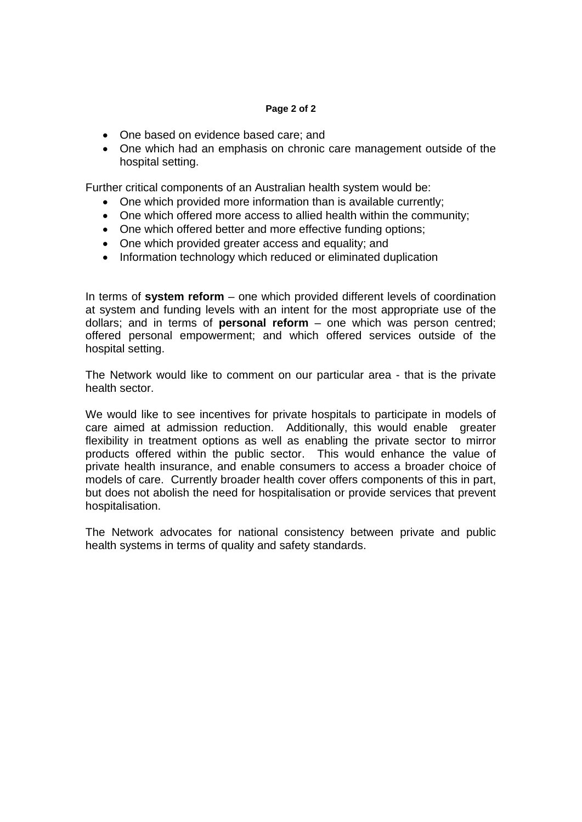#### **Page 2 of 2**

- One based on evidence based care; and
- One which had an emphasis on chronic care management outside of the hospital setting.

Further critical components of an Australian health system would be:

- One which provided more information than is available currently;
- One which offered more access to allied health within the community;
- One which offered better and more effective funding options;
- One which provided greater access and equality; and
- Information technology which reduced or eliminated duplication

In terms of **system reform** – one which provided different levels of coordination at system and funding levels with an intent for the most appropriate use of the dollars; and in terms of **personal reform** – one which was person centred; offered personal empowerment; and which offered services outside of the hospital setting.

The Network would like to comment on our particular area - that is the private health sector.

We would like to see incentives for private hospitals to participate in models of care aimed at admission reduction. Additionally, this would enable greater flexibility in treatment options as well as enabling the private sector to mirror products offered within the public sector. This would enhance the value of private health insurance, and enable consumers to access a broader choice of models of care. Currently broader health cover offers components of this in part, but does not abolish the need for hospitalisation or provide services that prevent hospitalisation.

The Network advocates for national consistency between private and public health systems in terms of quality and safety standards.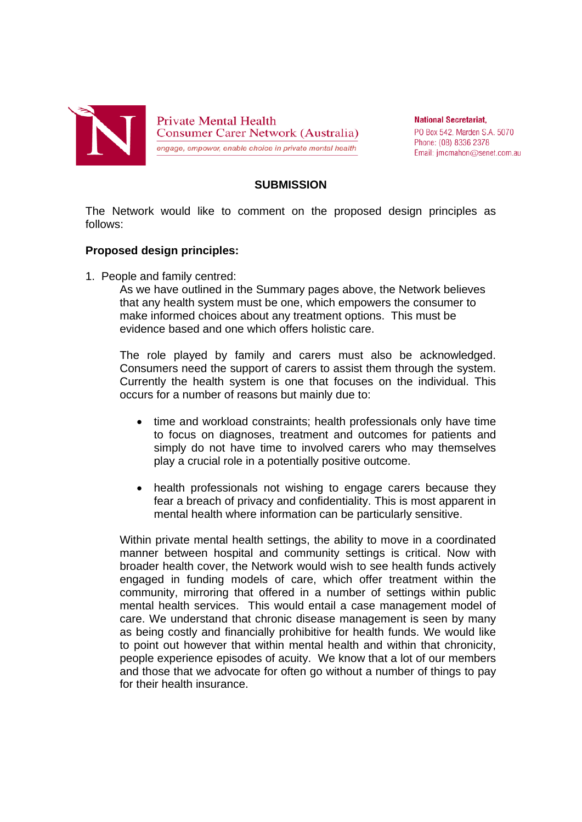

**National Secretariat.** PO Box 542, Marden S.A. 5070 Phone: (08) 8336 2378 Email: jmcmahon@senet.com.au

#### **SUBMISSION**

The Network would like to comment on the proposed design principles as follows:

#### **Proposed design principles:**

1. People and family centred:

 As we have outlined in the Summary pages above, the Network believes that any health system must be one, which empowers the consumer to make informed choices about any treatment options. This must be evidence based and one which offers holistic care.

The role played by family and carers must also be acknowledged. Consumers need the support of carers to assist them through the system. Currently the health system is one that focuses on the individual. This occurs for a number of reasons but mainly due to:

- time and workload constraints; health professionals only have time to focus on diagnoses, treatment and outcomes for patients and simply do not have time to involved carers who may themselves play a crucial role in a potentially positive outcome.
- health professionals not wishing to engage carers because they fear a breach of privacy and confidentiality. This is most apparent in mental health where information can be particularly sensitive.

Within private mental health settings, the ability to move in a coordinated manner between hospital and community settings is critical. Now with broader health cover, the Network would wish to see health funds actively engaged in funding models of care, which offer treatment within the community, mirroring that offered in a number of settings within public mental health services. This would entail a case management model of care. We understand that chronic disease management is seen by many as being costly and financially prohibitive for health funds. We would like to point out however that within mental health and within that chronicity, people experience episodes of acuity. We know that a lot of our members and those that we advocate for often go without a number of things to pay for their health insurance.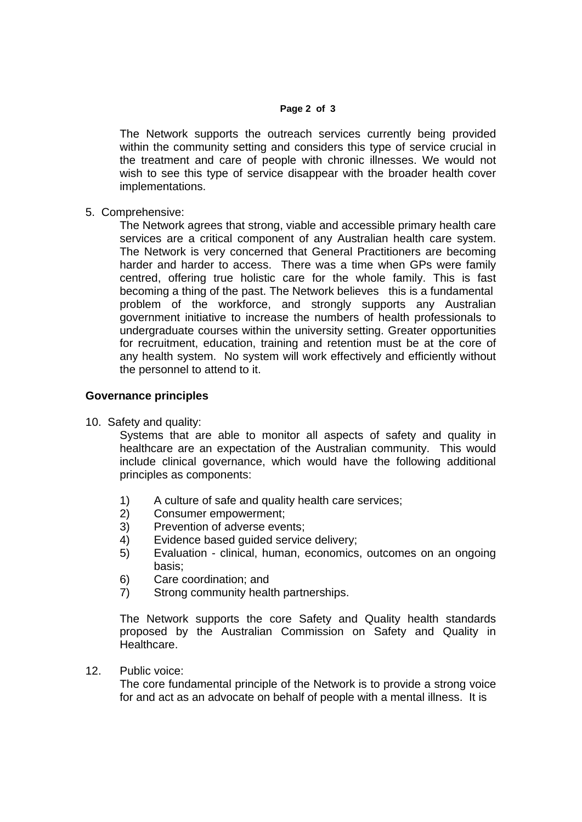#### **Page 2 of 3**

The Network supports the outreach services currently being provided within the community setting and considers this type of service crucial in the treatment and care of people with chronic illnesses. We would not wish to see this type of service disappear with the broader health cover implementations.

5. Comprehensive:

The Network agrees that strong, viable and accessible primary health care services are a critical component of any Australian health care system. The Network is very concerned that General Practitioners are becoming harder and harder to access. There was a time when GPs were family centred, offering true holistic care for the whole family. This is fast becoming a thing of the past. The Network believes this is a fundamental problem of the workforce, and strongly supports any Australian government initiative to increase the numbers of health professionals to undergraduate courses within the university setting. Greater opportunities for recruitment, education, training and retention must be at the core of any health system. No system will work effectively and efficiently without the personnel to attend to it.

### **Governance principles**

10. Safety and quality:

Systems that are able to monitor all aspects of safety and quality in healthcare are an expectation of the Australian community. This would include clinical governance, which would have the following additional principles as components:

- 1) A culture of safe and quality health care services;
- 2) Consumer empowerment;
- 3) Prevention of adverse events;
- 4) Evidence based guided service delivery;
- 5) Evaluation clinical, human, economics, outcomes on an ongoing basis;
- 6) Care coordination; and
- 7) Strong community health partnerships.

The Network supports the core Safety and Quality health standards proposed by the Australian Commission on Safety and Quality in Healthcare.

12. Public voice:

The core fundamental principle of the Network is to provide a strong voice for and act as an advocate on behalf of people with a mental illness. It is